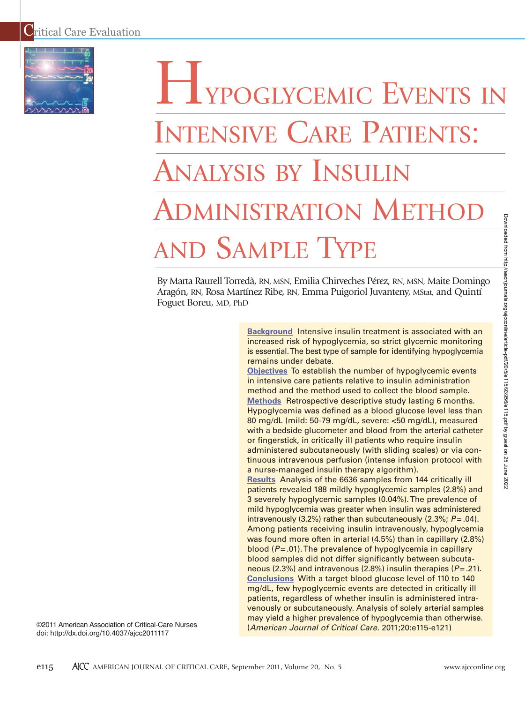

# HYPOGLYCEMIC EVENTS IN INTENSIVE CARE PATIENTS: ANALYSIS BY INSULIN ADMINISTRATION METHOI AND SAMPLE TYPE

By Marta Raurell Torredà, RN, MSN, Emilia Chirveches Pérez, RN, MSN, Maite Domingo Aragón, RN, Rosa Martínez Ribe, RN, Emma Puigoriol Juvanteny, MStat, and Quintí Foguet Boreu, MD, PhD

> **Background** Intensive insulin treatment is associated with an increased risk of hypoglycemia, so strict glycemic monitoring is essential. The best type of sample for identifying hypoglycemia remains under debate.

> **Objectives** To establish the number of hypoglycemic events in intensive care patients relative to insulin administration method and the method used to collect the blood sample. **Methods** Retrospective descriptive study lasting 6 months. Hypoglycemia was defined as a blood glucose level less than 80 mg/dL (mild: 50-79 mg/dL, severe: <50 mg/dL), measured with a bedside glucometer and blood from the arterial catheter or fingerstick, in critically ill patients who require insulin administered subcutaneously (with sliding scales) or via continuous intravenous perfusion (intense infusion protocol with a nurse-managed insulin therapy algorithm).

> **Results** Analysis of the 6636 samples from 144 critically ill patients revealed 188 mildly hypoglycemic samples (2.8%) and 3 severely hypoglycemic samples (0.04%). The prevalence of mild hypoglycemia was greater when insulin was administered intravenously (3.2%) rather than subcutaneously (2.3%;  $P = .04$ ). Among patients receiving insulin intravenously, hypoglycemia was found more often in arterial (4.5%) than in capillary (2.8%) blood ( $P = .01$ ). The prevalence of hypoglycemia in capillary blood samples did not differ significantly between subcutaneous  $(2.3\%)$  and intravenous  $(2.8\%)$  insulin therapies  $(P=.21)$ . **Conclusions** With a target blood glucose level of 110 to 140 mg/dL, few hypoglycemic events are detected in critically ill patients, regardless of whether insulin is administered intravenously or subcutaneously. Analysis of solely arterial samples may yield a higher prevalence of hypoglycemia than otherwise. (*American Journal of Critical Care.* 2011;20:e115-e121)

©2011 American Association of Critical-Care Nurses doi: http://dx.doi.org/10.4037/ajcc2011117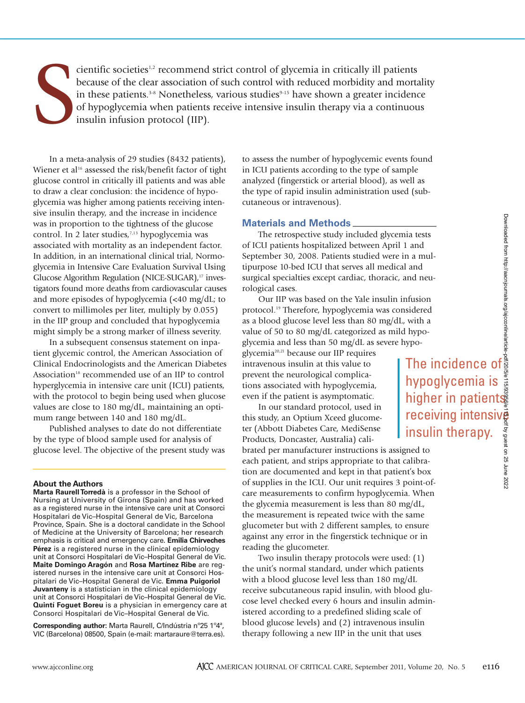S cientific societies<sup>1,2</sup> recommend strict control of glycemia in critically ill patients because of the clear association of such control with reduced morbidity and mortality in these patients. $3-8$  Nonetheless, various studies $9-15$  have shown a greater incidence of hypoglycemia when patients receive intensive insulin therapy via a continuous insulin infusion protocol (IIP).

In a meta-analysis of 29 studies (8432 patients), Wiener et al<sup>16</sup> assessed the risk/benefit factor of tight glucose control in critically ill patients and was able to draw a clear conclusion: the incidence of hypoglycemia was higher among patients receiving intensive insulin therapy, and the increase in incidence was in proportion to the tightness of the glucose control. In 2 later studies,<sup>7,13</sup> hypoglycemia was associated with mortality as an independent factor. In addition, in an international clinical trial, Normoglycemia in Intensive Care Evaluation Survival Using Glucose Algorithm Regulation (NICE-SUGAR),<sup>17</sup> investigators found more deaths from cardiovascular causes and more episodes of hypoglycemia (<40 mg/dL; to convert to millimoles per liter, multiply by 0.055) in the IIP group and concluded that hypoglycemia might simply be a strong marker of illness severity.

In a subsequent consensus statement on inpatient glycemic control, the American Association of Clinical Endocrinologists and the American Diabetes Association<sup>18</sup> recommended use of an IIP to control hyperglycemia in intensive care unit (ICU) patients, with the protocol to begin being used when glucose values are close to 180 mg/dL, maintaining an optimum range between 140 and 180 mg/dL.

Published analyses to date do not differentiate by the type of blood sample used for analysis of glucose level. The objective of the present study was

### **About the Authors**

**Marta Raurell Torredà** is a professor in the School of Nursing at University of Girona (Spain) and has worked as a registered nurse in the intensive care unit at Consorci Hospitalari de Vic–Hospital General de Vic, Barcelona Province, Spain. She is a doctoral candidate in the School of Medicine at the University of Barcelona; her research emphasis is critical and emergency care. **Emilia Chirveches Pérez** is a registered nurse in the clinical epidemiology unit at Consorci Hospitalari de Vic–Hospital General de Vic. **Maite Domingo Aragón** and **Rosa Martínez Ribe** are registered nurses in the intensive care unit at Consorci Hospitalari de Vic–Hospital General de Vic. **Emma Puigoriol Juvanteny** is a statistician in the clinical epidemiology unit at Consorci Hospitalari de Vic–Hospital General de Vic. **Quintí Foguet Boreu** is a physician in emergency care at Consorci Hospitalari de Vic–Hospital General de Vic.

**Corresponding author:** Marta Raurell, C/Indústria nº25 1º4ª, VIC (Barcelona) 08500, Spain (e-mail: martaraure@terra.es). to assess the number of hypoglycemic events found in ICU patients according to the type of sample analyzed (fingerstick or arterial blood), as well as the type of rapid insulin administration used (subcutaneous or intravenous).

### **Materials and Methods**

The retrospective study included glycemia tests of ICU patients hospitalized between April 1 and September 30, 2008. Patients studied were in a multipurpose 10-bed ICU that serves all medical and surgical specialties except cardiac, thoracic, and neurological cases.

Our IIP was based on the Yale insulin infusion protocol.<sup>19</sup> Therefore, hypoglycemia was considered as a blood glucose level less than 80 mg/dL, with a value of 50 to 80 mg/dL categorized as mild hypoglycemia and less than 50 mg/dL as severe hypo-

glycemia20,21 because our IIP requires intravenous insulin at this value to prevent the neurological complications associated with hypoglycemia, even if the patient is asymptomatic.

In our standard protocol, used in this study, an Optium Xceed glucometer (Abbott Diabetes Care, MediSense Products, Doncaster, Australia) cali-

brated per manufacturer instructions is assigned to each patient, and strips appropriate to that calibration are documented and kept in that patient's box of supplies in the ICU. Our unit requires 3 point-ofcare measurements to confirm hypoglycemia. When the glycemia measurement is less than 80 mg/dL, the measurement is repeated twice with the same glucometer but with 2 different samples, to ensure against any error in the fingerstick technique or in reading the glucometer.

Two insulin therapy protocols were used: (1) the unit's normal standard, under which patients with a blood glucose level less than 180 mg/dL receive subcutaneous rapid insulin, with blood glucose level checked every 6 hours and insulin administered according to a predefined sliding scale of blood glucose levels) and (2) intravenous insulin therapy following a new IIP in the unit that uses

The incidence of hypoglycemia is higher in patients receiving intensive insulin therapy.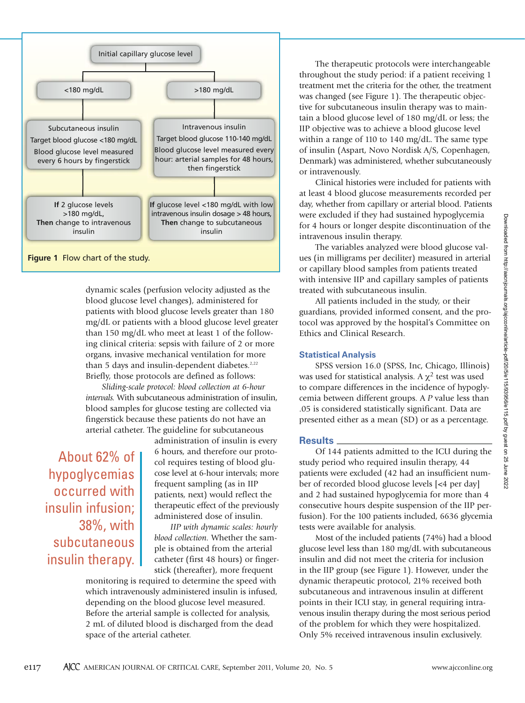2022



dynamic scales (perfusion velocity adjusted as the blood glucose level changes), administered for patients with blood glucose levels greater than 180 mg/dL or patients with a blood glucose level greater than 150 mg/dL who meet at least 1 of the following clinical criteria: sepsis with failure of 2 or more organs, invasive mechanical ventilation for more than 5 days and insulin-dependent diabetes.<sup> $2,22$ </sup> Briefly, those protocols are defined as follows:

*Sliding-scale protocol: blood collection at 6-hour intervals.* With subcutaneous administration of insulin, blood samples for glucose testing are collected via fingerstick because these patients do not have an arterial catheter. The guideline for subcutaneous

About 62% of hypoglycemias occurred with insulin infusion; 38%, with subcutaneous insulin therapy. administration of insulin is every 6 hours, and therefore our protocol requires testing of blood glucose level at 6-hour intervals; more frequent sampling (as in IIP patients, next) would reflect the therapeutic effect of the previously administered dose of insulin.

*IIP with dynamic scales: hourly blood collection.* Whether the sample is obtained from the arterial catheter (first 48 hours) or fingerstick (thereafter), more frequent

monitoring is required to determine the speed with which intravenously administered insulin is infused, depending on the blood glucose level measured. Before the arterial sample is collected for analysis, 2 mL of diluted blood is discharged from the dead space of the arterial catheter.

The therapeutic protocols were interchangeable throughout the study period: if a patient receiving 1 treatment met the criteria for the other, the treatment was changed (see Figure 1). The therapeutic objective for subcutaneous insulin therapy was to maintain a blood glucose level of 180 mg/dL or less; the IIP objective was to achieve a blood glucose level within a range of 110 to 140 mg/dL. The same type of insulin (Aspart, Novo Nordisk A/S, Copenhagen, Denmark) was administered, whether subcutaneously or intravenously.

Clinical histories were included for patients with at least 4 blood glucose measurements recorded per day, whether from capillary or arterial blood. Patients were excluded if they had sustained hypoglycemia for 4 hours or longer despite discontinuation of the intravenous insulin therapy.

The variables analyzed were blood glucose values (in milligrams per deciliter) measured in arterial or capillary blood samples from patients treated with intensive IIP and capillary samples of patients treated with subcutaneous insulin.

All patients included in the study, or their guardians, provided informed consent, and the protocol was approved by the hospital's Committee on Ethics and Clinical Research.

# **Statistical Analysis**

SPSS version 16.0 (SPSS, Inc, Chicago, Illinois) was used for statistical analysis. A  $\chi^2$  test was used to compare differences in the incidence of hypoglycemia between different groups. A *P* value less than .05 is considered statistically significant. Data are presented either as a mean (SD) or as a percentage.

### **Results**

Of 144 patients admitted to the ICU during the study period who required insulin therapy, 44 patients were excluded (42 had an insufficient number of recorded blood glucose levels [<4 per day] and 2 had sustained hypoglycemia for more than 4 consecutive hours despite suspension of the IIP perfusion). For the 100 patients included, 6636 glycemia tests were available for analysis.

Most of the included patients (74%) had a blood glucose level less than 180 mg/dL with subcutaneous insulin and did not meet the criteria for inclusion in the IIP group (see Figure 1). However, under the dynamic therapeutic protocol, 21% received both subcutaneous and intravenous insulin at different points in their ICU stay, in general requiring intravenous insulin therapy during the most serious period of the problem for which they were hospitalized. Only 5% received intravenous insulin exclusively.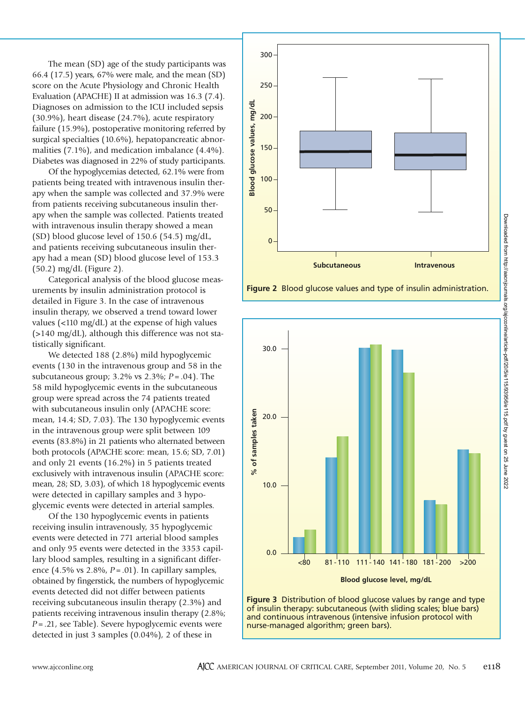The mean (SD) age of the study participants was 66.4 (17.5) years, 67% were male, and the mean (SD) score on the Acute Physiology and Chronic Health Evaluation (APACHE) II at admission was 16.3 (7.4). Diagnoses on admission to the ICU included sepsis (30.9%), heart disease (24.7%), acute respiratory failure (15.9%), postoperative monitoring referred by surgical specialties (10.6%), hepatopancreatic abnormalities (7.1%), and medication imbalance (4.4%). Diabetes was diagnosed in 22% of study participants.

Of the hypoglycemias detected, 62.1% were from patients being treated with intravenous insulin therapy when the sample was collected and 37.9% were from patients receiving subcutaneous insulin therapy when the sample was collected. Patients treated with intravenous insulin therapy showed a mean (SD) blood glucose level of 150.6 (54.5) mg/dL, and patients receiving subcutaneous insulin therapy had a mean (SD) blood glucose level of 153.3 (50.2) mg/dL (Figure 2).

Categorical analysis of the blood glucose measurements by insulin administration protocol is detailed in Figure 3. In the case of intravenous insulin therapy, we observed a trend toward lower values (<110 mg/dL) at the expense of high values (>140 mg/dL), although this difference was not statistically significant.

We detected 188 (2.8%) mild hypoglycemic events (130 in the intravenous group and 58 in the subcutaneous group; 3.2% vs 2.3%; *P* = .04). The 58 mild hypoglycemic events in the subcutaneous group were spread across the 74 patients treated with subcutaneous insulin only (APACHE score: mean, 14.4; SD, 7.03). The 130 hypoglycemic events in the intravenous group were split between 109 events (83.8%) in 21 patients who alternated between both protocols (APACHE score: mean, 15.6; SD, 7.01) and only 21 events (16.2%) in 5 patients treated exclusively with intravenous insulin (APACHE score: mean, 28; SD, 3.03), of which 18 hypoglycemic events were detected in capillary samples and 3 hypoglycemic events were detected in arterial samples.

Of the 130 hypoglycemic events in patients receiving insulin intravenously, 35 hypoglycemic events were detected in 771 arterial blood samples and only 95 events were detected in the 3353 capillary blood samples, resulting in a significant difference (4.5% vs 2.8%, *P* = .01). In capillary samples, obtained by fingerstick, the numbers of hypoglycemic events detected did not differ between patients receiving subcutaneous insulin therapy (2.3%) and patients receiving intravenous insulin therapy (2.8%; *P* = .21, see Table). Severe hypoglycemic events were detected in just 3 samples (0.04%), 2 of these in







**Figure 3** Distribution of blood glucose values by range and type of insulin therapy: subcutaneous (with sliding scales; blue bars) and continuous intravenous (intensive infusion protocol with nurse-managed algorithm; green bars).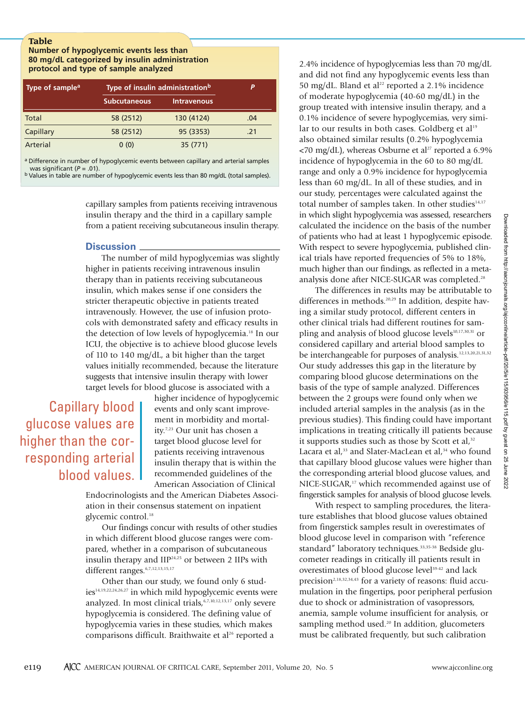# **Table**

**Number of hypoglycemic events less than 80 mg/dL categorized by insulin administration protocol and type of sample analyzed**

| Type of sample <sup>a</sup> | Type of insulin administration <sup>b</sup> |                    | D   |
|-----------------------------|---------------------------------------------|--------------------|-----|
|                             | <b>Subcutaneous</b>                         | <b>Intravenous</b> |     |
| Total                       | 58 (2512)                                   | 130 (4124)         | .04 |
| Capillary                   | 58 (2512)                                   | 95 (3353)          | .21 |
| Arterial                    | 0(0)                                        | 35 (771)           |     |

<sup>a</sup> Difference in number of hypoglycemic events between capillary and arterial samples was significant ( $P = .01$ ).

b Values in table are number of hypoglycemic events less than 80 mg/dL (total samples).

capillary samples from patients receiving intravenous insulin therapy and the third in a capillary sample from a patient receiving subcutaneous insulin therapy.

# **Discussion**

The number of mild hypoglycemias was slightly higher in patients receiving intravenous insulin therapy than in patients receiving subcutaneous insulin, which makes sense if one considers the stricter therapeutic objective in patients treated intravenously. However, the use of infusion protocols with demonstrated safety and efficacy results in the detection of low levels of hypoglycemia.18 In our ICU, the objective is to achieve blood glucose levels of 110 to 140 mg/dL, a bit higher than the target values initially recommended, because the literature suggests that intensive insulin therapy with lower target levels for blood glucose is associated with a

# Capillary blood glucose values are higher than the corresponding arterial blood values.

higher incidence of hypoglycemic events and only scant improvement in morbidity and mortality.7,23 Our unit has chosen a target blood glucose level for patients receiving intravenous insulin therapy that is within the recommended guidelines of the American Association of Clinical

Endocrinologists and the American Diabetes Association in their consensus statement on inpatient glycemic control.<sup>18</sup>

Our findings concur with results of other studies in which different blood glucose ranges were compared, whether in a comparison of subcutaneous insulin therapy and  $\text{HP}^{24,25}$  or between 2 IIPs with different ranges.<sup>6,7,12,13,15,17</sup>

Other than our study, we found only 6 studies<sup>14,19,22,24,26,27</sup> in which mild hypoglycemic events were analyzed. In most clinical trials,<sup>6,7,10,12,13,17</sup> only severe hypoglycemia is considered. The defining value of hypoglycemia varies in these studies, which makes comparisons difficult. Braithwaite et al<sup>26</sup> reported a

2.4% incidence of hypoglycemias less than 70 mg/dL and did not find any hypoglycemic events less than 50 mg/dL. Bland et al<sup>22</sup> reported a 2.1% incidence of moderate hypoglycemia (40-60 mg/dL) in the group treated with intensive insulin therapy, and a 0.1% incidence of severe hypoglycemias, very similar to our results in both cases. Goldberg et al<sup>19</sup> also obtained similar results (0.2% hypoglycemia  $\langle 70 \text{ mg/dL} \rangle$ , whereas Osburne et al<sup>27</sup> reported a 6.9% incidence of hypoglycemia in the 60 to 80 mg/dL range and only a 0.9% incidence for hypoglycemia less than 60 mg/dL. In all of these studies, and in our study, percentages were calculated against the total number of samples taken. In other studies<sup>14,17</sup> in which slight hypoglycemia was assessed, researchers calculated the incidence on the basis of the number of patients who had at least 1 hypoglycemic episode. With respect to severe hypoglycemia, published clinical trials have reported frequencies of 5% to 18%, much higher than our findings, as reflected in a metaanalysis done after NICE-SUGAR was completed.28

The differences in results may be attributable to differences in methods.<sup>20,29</sup> In addition, despite having a similar study protocol, different centers in other clinical trials had different routines for sampling and analysis of blood glucose levels<sup>10,17,30,31</sup> or considered capillary and arterial blood samples to be interchangeable for purposes of analysis.<sup>12,13,20,21,31,32</sup> Our study addresses this gap in the literature by comparing blood glucose determinations on the basis of the type of sample analyzed. Differences between the 2 groups were found only when we included arterial samples in the analysis (as in the previous studies). This finding could have important implications in treating critically ill patients because it supports studies such as those by Scott et al, $32$ Lacara et al,<sup>33</sup> and Slater-MacLean et al,<sup>34</sup> who found that capillary blood glucose values were higher than the corresponding arterial blood glucose values, and NICE-SUGAR,<sup>17</sup> which recommended against use of fingerstick samples for analysis of blood glucose levels.

With respect to sampling procedures, the literature establishes that blood glucose values obtained from fingerstick samples result in overestimates of blood glucose level in comparison with "reference standard" laboratory techniques.<sup>33,35-38</sup> Bedside glucometer readings in critically ill patients result in overestimates of blood glucose level<sup>39-42</sup> and lack precision<sup>2,18,32,34,43</sup> for a variety of reasons: fluid accumulation in the fingertips, poor peripheral perfusion due to shock or administration of vasopressors, anemia, sample volume insufficient for analysis, or sampling method used.<sup>20</sup> In addition, glucometers must be calibrated frequently, but such calibration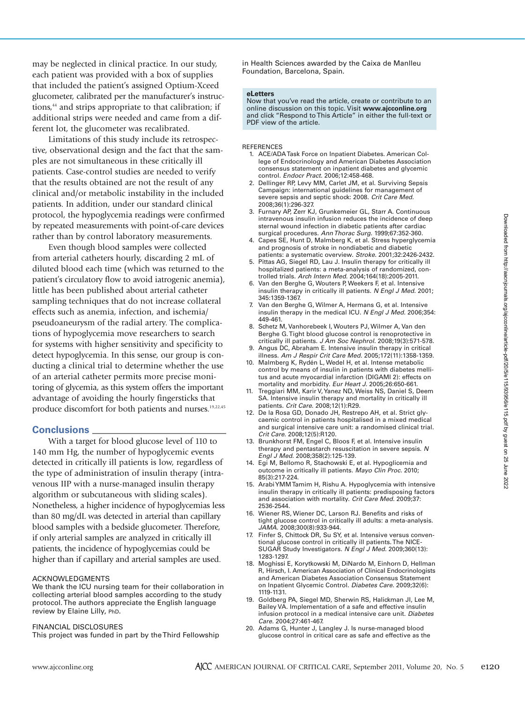2022

may be neglected in clinical practice. In our study, each patient was provided with a box of supplies that included the patient's assigned Optium-Xceed glucometer, calibrated per the manufacturer's instructions,<sup>44</sup> and strips appropriate to that calibration; if additional strips were needed and came from a different lot, the glucometer was recalibrated.

Limitations of this study include its retrospective, observational design and the fact that the samples are not simultaneous in these critically ill patients. Case-control studies are needed to verify that the results obtained are not the result of any clinical and/or metabolic instability in the included patients. In addition, under our standard clinical protocol, the hypoglycemia readings were confirmed by repeated measurements with point-of-care devices rather than by control laboratory measurements.

Even though blood samples were collected from arterial catheters hourly, discarding 2 mL of diluted blood each time (which was returned to the patient's circulatory flow to avoid iatrogenic anemia), little has been published about arterial catheter sampling techniques that do not increase collateral effects such as anemia, infection, and ischemia/ pseudoaneurysm of the radial artery. The complications of hypoglycemia move researchers to search for systems with higher sensitivity and specificity to detect hypoglycemia. In this sense, our group is conducting a clinical trial to determine whether the use of an arterial catheter permits more precise monitoring of glycemia, as this system offers the important advantage of avoiding the hourly fingersticks that produce discomfort for both patients and nurses.<sup>19,22,45</sup>

### **Conclusions**

With a target for blood glucose level of 110 to 140 mm Hg, the number of hypoglycemic events detected in critically ill patients is low, regardless of the type of administration of insulin therapy (intravenous IIP with a nurse-managed insulin therapy algorithm or subcutaneous with sliding scales). Nonetheless, a higher incidence of hypoglycemias less than 80 mg/dL was detected in arterial than capillary blood samples with a bedside glucometer. Therefore, if only arterial samples are analyzed in critically ill patients, the incidence of hypoglycemias could be higher than if capillary and arterial samples are used.

### ACKNOWLEDGMENTS

We thank the ICU nursing team for their collaboration in collecting arterial blood samples according to the study protocol. The authors appreciate the English language review by Elaine Lilly, PhD.

### FINANCIAL DISCLOSURES

This project was funded in part by the Third Fellowship

in Health Sciences awarded by the Caixa de Manlleu Foundation, Barcelona, Spain.

### **eLetters**

Now that you've read the article, create or contribute to an online discussion on this topic. Visit **www.ajcconline.org** and click "Respond to This Article" in either the full-text or PDF view of the article.

#### REFERENCES

- 1. ACE/ADA Task Force on Inpatient Diabetes. American College of Endocrinology and American Diabetes Association consensus statement on inpatient diabetes and glycemic control. *Endocr Pract.* 2006;12:458-468.
- 2. Dellinger RP, Levy MM, Carlet JM, et al. Surviving Sepsis Campaign: international guidelines for management of severe sepsis and septic shock: 2008. *Crit Care Med.* 2008;36(1):296-327.
- 3. Furnary AP, Zerr KJ, Grunkemeier GL, Starr A. Continuous intravenous insulin infusion reduces the incidence of deep sternal wound infection in diabetic patients after cardiac surgical procedures. *Ann Thorac Surg.* 1999;67:352-360.
- 4. Capes SE, Hunt D, Malmberg K, et al. Stress hyperglycemia and prognosis of stroke in nondiabetic and diabetic
- patients: a systematic overview. *Stroke.* 2001;32:2426-2432. 5. Pittas AG, Siegel RD, Lau J. Insulin therapy for critically ill
- hospitalized patients: a meta-analysis of randomized, controlled trials. *Arch Intern Med.* 2004;164(18):2005-2011. 6. Van den Berghe G, Wouters P, Weekers F, et al. Intensive
- insulin therapy in critically ill patients. *N Engl J Med.* 2001; 345:1359-1367.
- 7. Van den Berghe G, Wilmer A, Hermans G, et al. Intensive insulin therapy in the medical ICU. *N Engl J Med.* 2006;354: 449-461.
- 8. Schetz M, Vanhorebeek I, Wouters PJ, Wilmer A, Van den Berghe G. Tight blood glucose control is renoprotective in critically ill patients. *J Am Soc Nephrol.* 2008;19(3):571-578. 9. Angus DC, Abraham E. Intensive insulin therapy in critical
- illness. *Am J Respir Crit Care Med.* 2005;172(11):1358-1359. 10. Malmberg K, Rydén L, Wedel H, et al. Intense metabolic
- control by means of insulin in patients with diabetes mellitus and acute myocardial infarction (DIGAMI 2): effects on mortality and morbidity. *Eur Heart J.* 2005;26:650-661.
- 11. Treggiari MM, Karir V, Yanez ND, Weiss NS, Daniel S, Deem SA. Intensive insulin therapy and mortality in critically ill patients. *Crit Care.* 2008;12(1):R29.
- 12. De la Rosa GD, Donado JH, Restrepo AH, et al. Strict glycaemic control in patients hospitalised in a mixed medical and surgical intensive care unit: a randomised clinical trial. *Crit Care.* 2008;12(5):R120.
- 13. Brunkhorst FM, Engel C, Bloos F, et al. Intensive insulin therapy and pentastarch resuscitation in severe sepsis. *N Engl J Med.* 2008;358(2):125-139.
- 14. Egi M, Bellomo R, Stachowski E, et al. Hypoglicemia and outcome in critically ill patients. *Mayo Clin Proc.* 2010; 85(3):217-224.
- 15. Arabi YMM Tamim H, Rishu A. Hypoglycemia with intensive insulin therapy in critically ill patients: predisposing factors and association with mortality. *Crit Care Med.* 2009;37: 2536-2544.
- 16. Wiener RS, Wiener DC, Larson RJ. Benefits and risks of tight glucose control in critically ill adults: a meta-analysis. *JAMA.* 2008;300(8):933-944.
- 17. Finfer S, Chittock DR, Su SY, et al. Intensive versus conventional glucose control in critically ill patients. The NICE-SUGAR Study Investigators. *N Engl J Med.* 2009;360(13): 1283-1297.
- 18. Moghissi E, Korytkowski M, DiNardo M, Einhorn D, Hellman R, Hirsch, I. American Association of Clinical Endocrinologists and American Diabetes Association Consensus Statement on Inpatient Glycemic Control. *Diabetes Care.* 2009;32(6): 1119-1131.
- 19. Goldberg PA, Siegel MD, Sherwin RS, Halickman JI, Lee M, Bailey VA. Implementation of a safe and effective insulin infusion protocol in a medical intensive care unit. *Diabetes Care.* 2004;27:461-467.
- 20. Adams G, Hunter J, Langley J. Is nurse-managed blood glucose control in critical care as safe and effective as the